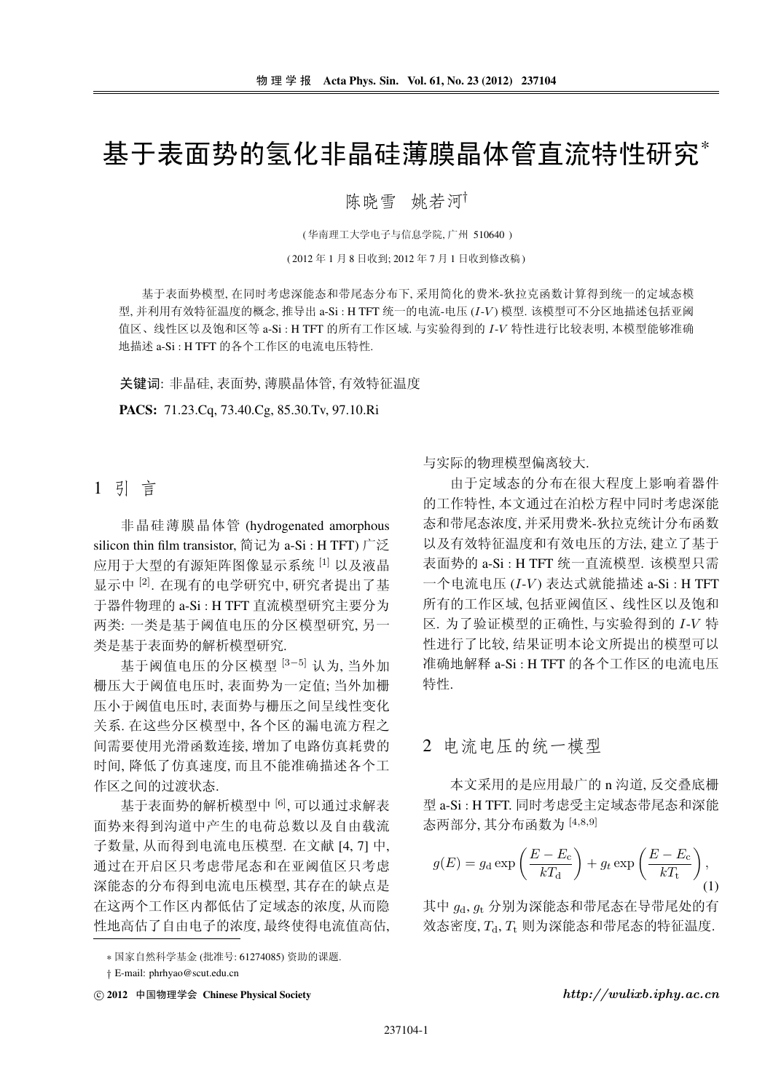# 基于表面势的氢化非晶硅薄膜晶体管直流特性研究\*

### 陈晓雪 姚若河

(华南理工大学电子与信息学院,广州 510640)

(2012年1月8日收到;2012年7月1日收到修改稿)

基于表面势模型, 在同时考虑深能态和带尾态分布下, 采用简化的费米-狄拉克函数计算得到统一的定域态模 型,并利用有效特征温度的概念,推导出 a-Si: H TFT 统一的电流-电压 (I-V) 模型, 该模型可不分区地描述包括亚阈 值区、线性区以及饱和区等 a-Si : H TFT 的所有工作区域, 与实验得到的 I-V 特性进行比较表明, 本模型能够准确 地描述 a-Si: H TFT 的各个工作区的电流电压特性.

关键词: 非晶硅, 表面势, 薄膜晶体管, 有效特征温度

PACS: 71.23.Cq, 73.40.Cg, 85.30.Tv, 97.10.Ri

## 1 引 言

非晶硅薄膜晶体管 (hydrogenated amorphous silicon thin film transistor, 简记为 a-Si : H TFT) 广泛 应用于大型的有源矩阵图像显示系统 [1] 以及液晶 显示中 [2]. 在现有的电学研究中, 研究者提出了基 于器件物理的 a-Si: H TFT 直流模型研究主要分为 两类: 一类是基于阈值电压的分区模型研究, 另一 类是基于表面势的解析模型研究.

基于阈值电压的分区模型 [3-5] 认为, 当外加 栅压大于阈值电压时, 表面势为一定值; 当外加栅 压小于阈值电压时,表面势与栅压之间呈线性变化 关系. 在这些分区模型中, 各个区的漏电流方程之 间需要使用光滑函数连接, 增加了电路仿真耗费的 时间,降低了仿真速度,而且不能准确描述各个工 作区之间的过渡状态.

基于表面势的解析模型中 [6], 可以通过求解表 面势来得到沟道中产生的电荷总数以及自由载流 子数量,从而得到电流电压模型. 在文献 [4, 7] 中, 通过在开启区只考虑带尾态和在亚阈值区只考虑 深能态的分布得到电流电压模型,其存在的缺点是 在这两个工作区内都低估了定域态的浓度, 从而隐 性地高估了自由电子的浓度, 最终使得电流值高估, 与实际的物理模型偏离较大.

由于定域态的分布在很大程度上影响着器件 的工作特性,本文通过在泊松方程中同时考虑深能 态和带尾态浓度,并采用费米-狄拉克统计分布函数 以及有效特征温度和有效电压的方法,建立了基于 表面势的 a-Si : H TFT 统一直流模型. 该模型只需 一个电流电压 (I-V) 表达式就能描述 a-Si : H TFT 所有的工作区域,包括亚阈值区、线性区以及饱和 区. 为了验证模型的正确性, 与实验得到的 I-V 特 性进行了比较,结果证明本论文所提出的模型可以 准确地解释 a-Si : H TFT 的各个工作区的电流电压 特性.

# 2 电流电压的统一模型

本文采用的是应用最广的 n 沟道, 反交叠底栅 型 a-Si : H TFT. 同时考虑受主定域态带尾态和深能 态两部分, 其分布函数为 [4,8,9]

$$
g(E) = g_{\rm d} \exp\left(\frac{E - E_{\rm c}}{kT_{\rm d}}\right) + g_t \exp\left(\frac{E - E_{\rm c}}{kT_{\rm t}}\right),\tag{1}
$$

其中 qd, qt 分别为深能态和带尾态在导带尾处的有 效态密度, Td, Tt 则为深能态和带尾态的特征温度.

 $http://wulixb.iphy.ac.cn$ 

<sup>\*</sup> 国家自然科学基金(批准号: 61274085) 资助的课题.

<sup>†</sup> E-mail: phrhyao@scut.edu.cn

<sup>ⓒ 2012</sup> 中国物理学会 Chinese Physical Society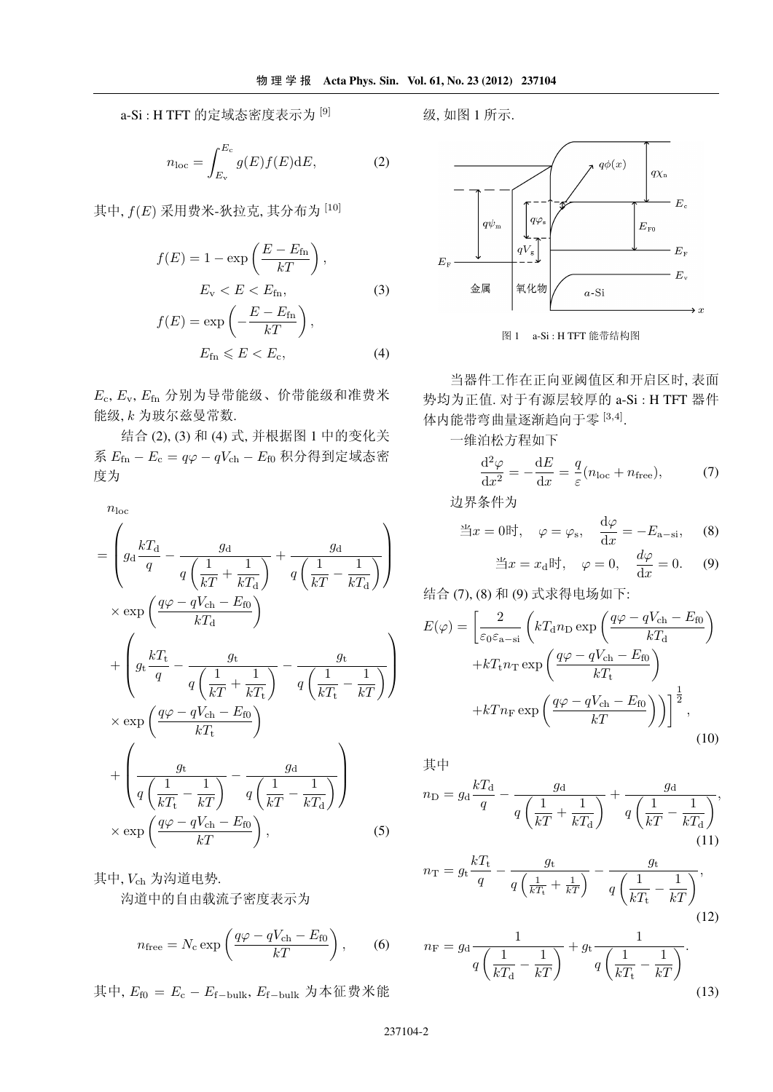a-Si: H TFT 的定域态密度表示为 [9]

$$
n_{\rm loc} = \int_{E_{\rm v}}^{E_{\rm c}} g(E)f(E) \mathrm{d}E,\tag{2}
$$

其中,  $f(E)$ 采用费米-狄拉克, 其分布为 $[10]$ 

$$
f(E) = 1 - \exp\left(\frac{E - E_{\text{fn}}}{kT}\right),
$$
  
\n
$$
E_{\text{v}} < E < E_{\text{fn}},
$$
  
\n
$$
f(E) = \exp\left(-\frac{E - E_{\text{fn}}}{kT}\right),
$$
  
\n
$$
E_{\text{fn}} \leq E < E_{\text{c}},
$$
  
\n(4)

 $E_{\rm c}$ ,  $E_{\rm v}$ ,  $E_{\rm fin}$  分别为导带能级、价带能级和准费米 能级, k 为玻尔兹曼常数.

结合(2), (3) 和(4) 式, 并根据图 1 中的变化关 系  $E_{\text{fn}} - E_{\text{c}} = q\varphi - qV_{\text{ch}} - E_{\text{f0}}$  积分得到定域态密 度为

 $n_{\rm loc}$ 

$$
= \left( g_{\rm d} \frac{kT_{\rm d}}{q} - \frac{g_{\rm d}}{q \left( \frac{1}{kT} + \frac{1}{kT_{\rm d}} \right)} + \frac{g_{\rm d}}{q \left( \frac{1}{kT} - \frac{1}{kT_{\rm d}} \right)} \right)
$$
  
\n
$$
\times \exp\left( \frac{q\varphi - qV_{\rm ch} - E_{\rm f0}}{kT_{\rm d}} \right)
$$
  
\n
$$
+ \left( g_{\rm t} \frac{kT_{\rm t}}{q} - \frac{g_{\rm t}}{q \left( \frac{1}{kT} + \frac{1}{kT_{\rm t}} \right)} - \frac{g_{\rm t}}{q \left( \frac{1}{kT_{\rm t}} - \frac{1}{kT} \right)} \right)
$$
  
\n
$$
\times \exp\left( \frac{q\varphi - qV_{\rm ch} - E_{\rm f0}}{kT_{\rm t}} \right)
$$
  
\n
$$
+ \left( \frac{g_{\rm t}}{q \left( \frac{1}{kT_{\rm t}} - \frac{1}{kT} \right)} - \frac{g_{\rm d}}{q \left( \frac{1}{kT} - \frac{1}{kT_{\rm d}} \right)} \right)
$$
  
\n
$$
\times \exp\left( \frac{q\varphi - qV_{\rm ch} - E_{\rm f0}}{kT} \right), \qquad (5)
$$

其中, Vch 为沟道电势. 沟道中的自由载流子密度表示为

$$
n_{\text{free}} = N_{\text{c}} \exp\left(\frac{q\varphi - qV_{\text{ch}} - E_{\text{f0}}}{kT}\right),\qquad(6)
$$

其中,  $E_{\text{f0}} = E_{\text{c}} - E_{\text{f-bulk}}$ ,  $E_{\text{f-bulk}}$  为本征费米能

级,如图1所示.





势均为正值. 对于有源层较厚的 a-Si : H TFT 器件 体内能带弯曲量逐渐趋向于零 [3,4].

一维泊松方程如下

$$
\frac{\mathrm{d}^2 \varphi}{\mathrm{d} x^2} = -\frac{\mathrm{d} E}{\mathrm{d} x} = \frac{q}{\varepsilon} (n_{\text{loc}} + n_{\text{free}}),\tag{7}
$$

边界条件为

$$
\exists x = 0 \mathbb{H}, \quad \varphi = \varphi_{\rm s}, \quad \frac{\mathrm{d}\varphi}{\mathrm{d}x} = -E_{\rm a-si}, \quad (8)
$$

$$
\exists x = x_{\rm d} \mathbb{H}, \quad \varphi = 0, \quad \frac{d\varphi}{dx} = 0. \quad (9)
$$

$$
E(\varphi) = \left[\frac{2}{\varepsilon_0 \varepsilon_{\rm a-si}} \left(kT_{\rm d}n_{\rm D} \exp\left(\frac{q\varphi - qV_{\rm ch} - E_{\rm f0}}{kT_{\rm d}}\right)\right.\right.\left. + kT_{\rm t}n_{\rm T} \exp\left(\frac{q\varphi - qV_{\rm ch} - E_{\rm f0}}{kT_{\rm t}}\right)\right.\left. + kTn_{\rm F} \exp\left(\frac{q\varphi - qV_{\rm ch} - E_{\rm f0}}{kT}\right)\right)\right]^{\frac{1}{2}},
$$
\n(10)

$$
\nexists \n\uparrow\n\eta \text{ } = g_{\text{d}} \frac{kT_{\text{d}}}{q} - \frac{g_{\text{d}}}{q \left(\frac{1}{kT} + \frac{1}{kT_{\text{d}}}\right)} + \frac{g_{\text{d}}}{q \left(\frac{1}{kT} - \frac{1}{kT_{\text{d}}}\right)},\tag{11}
$$

$$
n_{\rm T} = g_{\rm t} \frac{kT_{\rm t}}{q} - \frac{g_{\rm t}}{q\left(\frac{1}{kT_{\rm t}} + \frac{1}{kT}\right)} - \frac{g_{\rm t}}{q\left(\frac{1}{kT_{\rm t}} - \frac{1}{kT}\right)},\tag{12}
$$

$$
n_{\rm F} = g_{\rm d} \frac{1}{q \left(\frac{1}{kT_{\rm d}} - \frac{1}{kT}\right)} + g_{\rm t} \frac{1}{q \left(\frac{1}{kT_{\rm t}} - \frac{1}{kT}\right)}.
$$
\n(13)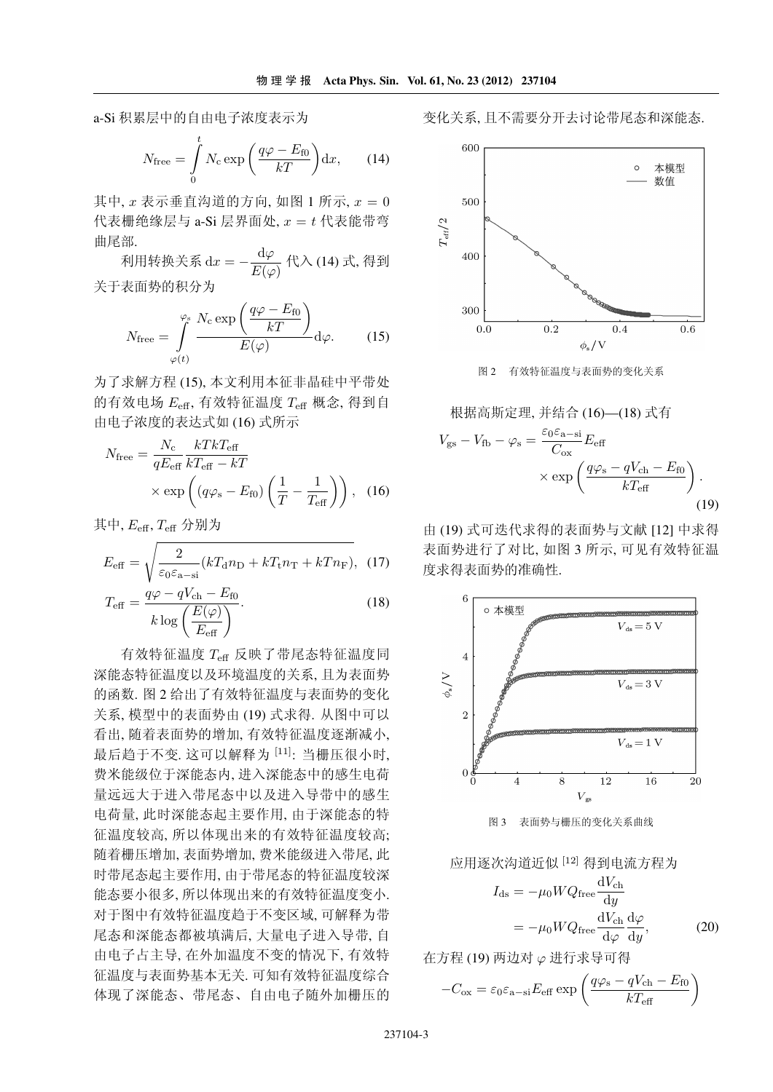a-Si 积累层中的自由电子浓度表示为

$$
N_{\text{free}} = \int_{0}^{t} N_{\text{c}} \exp\left(\frac{q\varphi - E_{\text{f0}}}{kT}\right) \mathrm{d}x, \qquad (14)
$$

其中,  $x \neq \pi$ 垂直沟道的方向, 如图 1 所示,  $x = 0$ 代表栅绝缘层与 a-Si 层界面处.  $x = t$ 代表能带弯 曲尾部.

利用转换关系  $dx = -\frac{d\varphi}{E(\varphi)}$  代入 (14) 式, 得到 关于表面势的积分为

$$
N_{\text{free}} = \int_{\varphi(t)}^{\varphi_{\text{s}}} \frac{N_{\text{c}} \exp\left(\frac{q\varphi - E_{\text{f0}}}{kT}\right)}{E(\varphi)} d\varphi. \tag{15}
$$

为了求解方程(15). 本文利用本征非晶硅中平带处 的有效电场  $E_{\text{eff}}$ , 有效特征温度  $T_{\text{eff}}$  概念, 得到自 由电子浓度的表达式如 (16) 式所示

$$
N_{\text{free}} = \frac{N_{\text{c}}}{qE_{\text{eff}}} \frac{kTkT_{\text{eff}}}{kT_{\text{eff}} - kT} \times \exp\left((q\varphi_{\text{s}} - E_{\text{f0}}) \left(\frac{1}{T} - \frac{1}{T_{\text{eff}}}\right)\right), \quad (16)
$$

其中,  $E_{\text{eff}}$ ,  $T_{\text{eff}}$  分别为

$$
E_{\text{eff}} = \sqrt{\frac{2}{\varepsilon_0 \varepsilon_{\text{a-si}}}} (kT_{\text{d}} n_{\text{D}} + kT_{\text{t}} n_{\text{T}} + kT n_{\text{F}}), \tag{17}
$$

$$
T_{\text{eff}} = \frac{q\varphi - qV_{\text{ch}} - E_{\text{f0}}}{k \log \left(\frac{E(\varphi)}{E_{\text{eff}}}\right)}.
$$
\n(18)

有效特征温度 Teff 反映了带尾态特征温度同 深能态特征温度以及环境温度的关系,且为表面势 的函数. 图 2 给出了有效特征温度与表面势的变化 关系, 模型中的表面势由(19)式求得. 从图中可以 看出,随着表面势的增加,有效特征温度逐渐减小, 最后趋于不变. 这可以解释为 [11]: 当栅压很小时, 费米能级位于深能态内, 进入深能态中的感生电荷 量远远大于进入带尾态中以及进入导带中的感生 电荷量, 此时深能态起主要作用, 由于深能态的特 征温度较高,所以体现出来的有效特征温度较高; 随着栅压增加, 表面势增加, 费米能级进入带尾, 此 时带尾态起主要作用,由于带尾态的特征温度较深 能态要小很多,所以体现出来的有效特征温度变小. 对于图中有效特征温度趋于不变区域, 可解释为带 尾态和深能态都被填满后,大量电子进入导带,自 由电子占主导, 在外加温度不变的情况下, 有效特 征温度与表面势基本无关. 可知有效特征温度综合 体现了深能态、带尾态、自由电子随外加栅压的

变化关系,且不需要分开去讨论带尾态和深能态.



有效特征温度与表面势的变化关系 图 2

根据高斯定理,并结合(16)—(18)式有

$$
V_{\rm gs} - V_{\rm fb} - \varphi_{\rm s} = \frac{\varepsilon_0 \varepsilon_{\rm a-si}}{C_{\rm ox}} E_{\rm eff}
$$

$$
\times \exp\left(\frac{q\varphi_{\rm s} - qV_{\rm ch} - E_{\rm f0}}{kT_{\rm eff}}\right). \tag{19}
$$

由(19)式可迭代求得的表面势与文献[12]中求得 表面势讲行了对比, 如图 3 所示, 可见有效特征温 度求得表面势的准确性.



图 3 表面势与栅压的变化关系曲线

应用逐次沟道近似 [12] 得到电流方程为

$$
I_{\text{ds}} = -\mu_0 W Q_{\text{free}} \frac{dV_{\text{ch}}}{dy}
$$

$$
= -\mu_0 W Q_{\text{free}} \frac{dV_{\text{ch}}}{d\varphi} \frac{d\varphi}{dy}, \qquad (20)
$$

在方程(19) 两边对 (2 进行求导可得

$$
-C_{\text{ox}} = \varepsilon_0 \varepsilon_{\text{a-si}} E_{\text{eff}} \exp\left(\frac{q\varphi_{\text{s}} - qV_{\text{ch}} - E_{\text{f0}}}{kT_{\text{eff}}}\right)
$$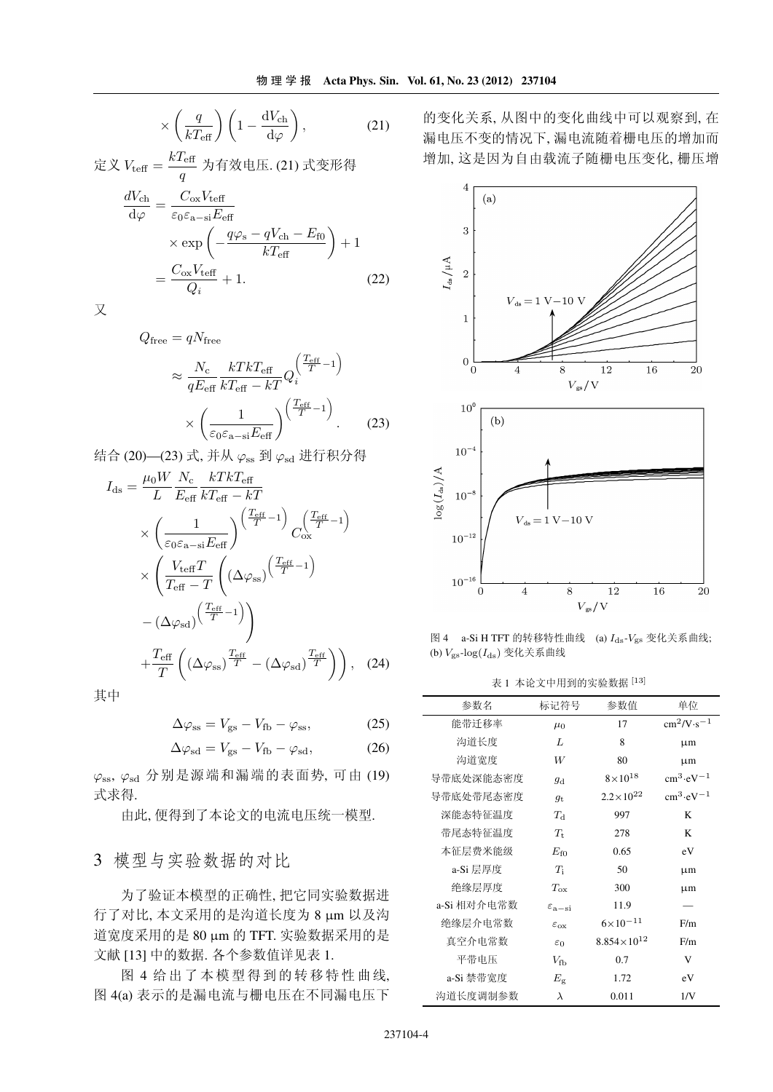$$
\times \left(\frac{q}{kT_{\text{eff}}}\right) \left(1 - \frac{\text{d}V_{\text{ch}}}{\text{d}\varphi}\right),\tag{21}
$$

$$
\begin{aligned}\n\overline{\mathcal{L}} \times V_{\text{teff}} &= \frac{\kappa_{\text{left}}}{q} \; \nabla \overline{\mathcal{L}} \, \mathcal{L} \, \mathcal{L} \, (21) \; \mathcal{K} \overline{\mathcal{L}} \mathcal{L} \overline{\mathcal{L}} \, \mathcal{L} \\
\frac{dV_{\text{ch}}}{d\varphi} &= \frac{C_{\text{ox}} V_{\text{teff}}}{\varepsilon_0 \varepsilon_{\text{a-si}} E_{\text{eff}}} \\
&\times \exp\left(-\frac{q\varphi_{\text{s}} - qV_{\text{ch}} - E_{\text{f0}}}{kT_{\text{eff}}}\right) + 1 \\
&= \frac{C_{\text{ox}} V_{\text{teff}}}{Q_i} + 1.\n\end{aligned} \tag{22}
$$

又

$$
Q_{\text{free}} = qN_{\text{free}}
$$

$$
\approx \frac{N_{\text{c}}}{qE_{\text{eff}}} \frac{kTkT_{\text{eff}}}{kT_{\text{eff}}} Q_i \left(\frac{T_{\text{eff}} - 1}{T}\right)
$$

$$
\times \left(\frac{1}{\varepsilon_0 \varepsilon_{\text{a}-\text{si}} E_{\text{eff}}}\right) \left(\frac{T_{\text{eff}} - 1}{T}\right).
$$
(23)

结合(20)—(23)式,并从 $\varphi_{ss}$ 到 $\varphi_{sd}$ 进行积分得

$$
I_{\rm ds} = \frac{\mu_0 W}{L} \frac{N_{\rm c}}{E_{\rm eff}} \frac{kT k T_{\rm eff}}{k T_{\rm eff} - kT}
$$
  
\n
$$
\times \left(\frac{1}{\varepsilon_0 \varepsilon_{\rm a-si}} \frac{\sqrt{\frac{T_{\rm eff}}{T}} - 1}{C_{\rm ox}}\right) C_{\rm ox} \left(\frac{T_{\rm eff}}{T} - 1\right)
$$
  
\n
$$
\times \left(\frac{V_{\rm teff} T}{T_{\rm eff} - T} \left((\Delta \varphi_{\rm ss}) \frac{T_{\rm eff}}{T} - 1\right)
$$
  
\n
$$
-(\Delta \varphi_{\rm sd}) \left(\frac{T_{\rm eff}}{T} - 1\right)
$$
  
\n
$$
+ \frac{T_{\rm eff}}{T} \left((\Delta \varphi_{\rm ss}) \frac{T_{\rm eff}}{T} - (\Delta \varphi_{\rm sd}) \frac{T_{\rm eff}}{T}\right)\right), \quad (24)
$$

其中

$$
\Delta\varphi_{\rm ss} = V_{\rm gs} - V_{\rm fb} - \varphi_{\rm ss},\tag{25}
$$

$$
\Delta\varphi_{\rm sd} = V_{\rm gs} - V_{\rm fb} - \varphi_{\rm sd},\tag{26}
$$

 $\varphi$ <sub>ss</sub>,  $\varphi$ <sub>sd</sub> 分别是源端和漏端的表面势, 可由(19) 式求得.

由此,便得到了本论文的电流电压统一模型.

# 3 模型与实验数据的对比

为了验证本模型的正确性, 把它同实验数据进 行了对比,本文采用的是沟道长度为 8 µm 以及沟 道宽度采用的是 80 μm 的 TFT. 实验数据采用的是 文献 [13] 中的数据. 各个参数值详见表 1.

图 4 给出了本模型得到的转移特性曲线, 图 4(a) 表示的是漏电流与栅电压在不同漏电压下 的变化关系,从图中的变化曲线中可以观察到,在 漏电压不变的情况下,漏电流随着栅电压的增加而 增加,这是因为自由载流子随栅电压变化,栅压增



图 4 a-Si H TFT 的转移特性曲线 (a)  $I_{\text{ds}}-V_{\text{gs}}$  变化关系曲线; (b)  $V_{\rm gs}$ -log $(I_{\rm ds})$  变化关系曲线

| 标记符号                     | 参数值                    | 单位                                       |
|--------------------------|------------------------|------------------------------------------|
| $\mu_0$                  | 17                     | $\text{cm}^2/\text{V}\cdot\text{s}^{-1}$ |
| L                        | 8                      | μm                                       |
| W                        | 80                     | μm                                       |
| $g_{\rm d}$              | $8\times10^{18}$       | $\text{cm}^3 \cdot \text{eV}^{-1}$       |
| $q_{\rm t}$              | $2.2 \times 10^{22}$   | $\text{cm}^3 \cdot \text{eV}^{-1}$       |
| $T_A$                    | 997                    | K                                        |
| $T_{\rm t}$              | 278                    | K                                        |
| $E_{f0}$                 | 0.65                   | eV                                       |
| $T_{\rm i}$              | 50                     | μm                                       |
| $T_{\rm ox}$             | 300                    | μm                                       |
| $\varepsilon_{\rm a-si}$ | 11.9                   |                                          |
| $\varepsilon_{ox}$       | $6 \times 10^{-11}$    | F/m                                      |
| $\varepsilon_0$          | $8.854 \times 10^{12}$ | F/m                                      |
| $V_{\rm fb}$             | 0.7                    | V                                        |
| $E_{\rm g}$              | 1.72                   | eV                                       |
| λ                        | 0.011                  | 1/V                                      |
|                          |                        |                                          |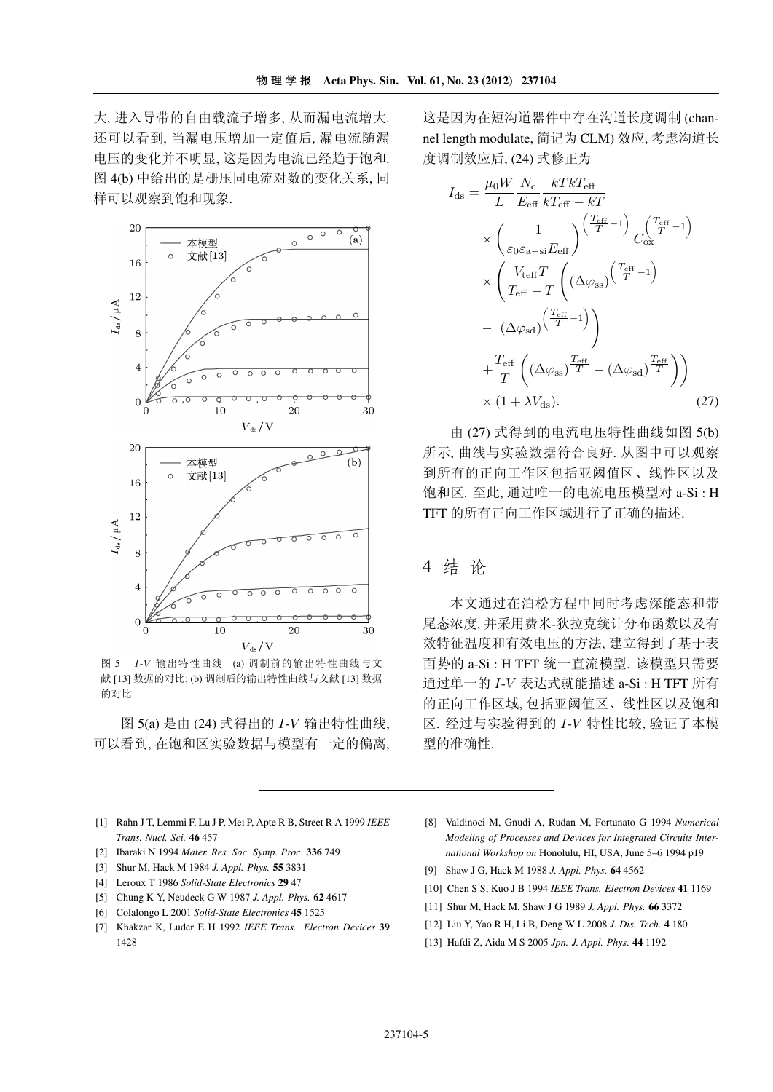大,进入导带的自由载流子增多,从而漏电流增大. 还可以看到, 当漏电压增加一定值后, 漏电流随漏 电压的变化并不明显,这是因为电流已经趋于饱和. 图 4(b) 中给出的是栅压同电流对数的变化关系, 同 样可以观察到饱和现象.



图 5 I-V 输出特性曲线 (a) 调制前的输出特性曲线与文 献 [13] 数据的对比; (b) 调制后的输出特性曲线与文献 [13] 数据 的对比

图 5(a) 是由 (24) 式得出的 I-V 输出特性曲线, 可以看到,在饱和区实验数据与模型有一定的偏离, 这是因为在短沟道器件中存在沟道长度调制 (channel length modulate, 简记为 CLM) 效应, 考虑沟道长 度调制效应后, (24) 式修正为

$$
I_{\rm ds} = \frac{\mu_0 W}{L} \frac{N_{\rm c}}{E_{\rm eff}} \frac{kT k T_{\rm eff}}{kT_{\rm eff} - kT}
$$
  
\n
$$
\times \left(\frac{1}{\varepsilon_0 \varepsilon_{\rm a-si} E_{\rm eff}}\right)^{\left(\frac{T_{\rm eff}}{T} - 1\right)} C_{\rm ox}^{\left(\frac{T_{\rm eff}}{T} - 1\right)}
$$
  
\n
$$
\times \left(\frac{V_{\rm teff} T}{T_{\rm eff} - T} \left((\Delta \varphi_{\rm ss})^{\left(\frac{T_{\rm eff}}{T} - 1\right)}\right)
$$
  
\n
$$
- (\Delta \varphi_{\rm sd})^{\left(\frac{T_{\rm eff}}{T} - 1\right)}\right)
$$
  
\n
$$
+ \frac{T_{\rm eff}}{T} \left((\Delta \varphi_{\rm ss})^{\frac{T_{\rm eff}}{T}} - (\Delta \varphi_{\rm sd})^{\frac{T_{\rm eff}}{T}}\right)\right)
$$
  
\n
$$
\times (1 + \lambda V_{\rm ds}).
$$
 (27)

由(27)式得到的电流电压特性曲线如图 5(b) 所示,曲线与实验数据符合良好. 从图中可以观察 到所有的正向工作区包括亚阈值区、线性区以及 饱和区. 至此, 通过唯一的电流电压模型对 a-Si : H TFT 的所有正向工作区域进行了正确的描述.

# 4 结论

本文通过在泊松方程中同时考虑深能态和带 尾态浓度,并采用费米-狄拉克统计分布函数以及有 效特征温度和有效电压的方法,建立得到了基于表 面势的 a-Si : H TFT 统一直流模型. 该模型只需要 通过单一的 I-V 表达式就能描述 a-Si : H TFT 所有 的正向工作区域,包括亚阈值区、线性区以及饱和 区. 经过与实验得到的 I-V 特性比较, 验证了本模 型的准确性.

- [1] Rahn J T, Lemmi F, Lu J P, Mei P, Apte R B, Street R A 1999 IEEE Trans. Nucl. Sci. 46 457
- [2] Ibaraki N 1994 Mater. Res. Soc. Symp. Proc. 336 749
- [3] Shur M, Hack M 1984 J. Appl. Phys. 55 3831
- [4] Leroux T 1986 Solid-State Electronics 29 47
- [5] Chung K Y, Neudeck G W 1987 J. Appl. Phys. 62 4617
- [6] Colalongo L 2001 Solid-State Electronics 45 1525
- [7] Khakzar K, Luder E H 1992 IEEE Trans. Electron Devices 39 1428
- [8] Valdinoci M, Gnudi A, Rudan M, Fortunato G 1994 Numerical Modeling of Processes and Devices for Integrated Circuits International Workshop on Honolulu, HI, USA, June 5-6 1994 p19
- [9] Shaw J G, Hack M 1988 J. Appl. Phys. 64 4562
- [10] Chen S S, Kuo J B 1994 IEEE Trans. Electron Devices 41 1169
- [11] Shur M, Hack M, Shaw J G 1989 J. Appl. Phys. 66 3372
- [12] Liu Y, Yao R H, Li B, Deng W L 2008 J. Dis. Tech. 4 180
- [13] Hafdi Z, Aida M S 2005 Jpn. J. Appl. Phys. 44 1192